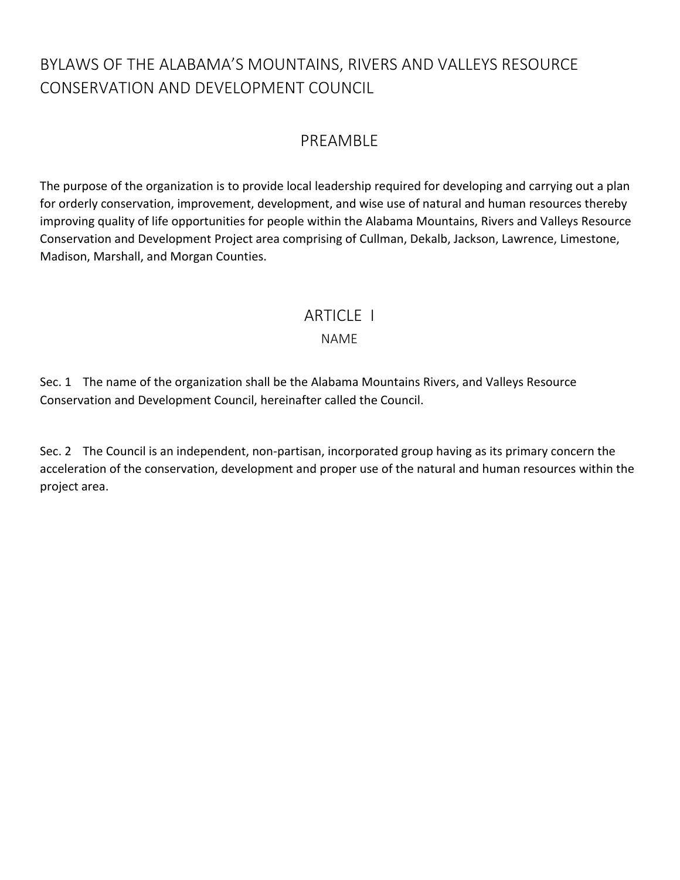# BYLAWS OF THE ALABAMA'S MOUNTAINS, RIVERS AND VALLEYS RESOURCE CONSERVATION AND DEVELOPMENT COUNCIL

# PREAMBLE

The purpose of the organization is to provide local leadership required for developing and carrying out a plan for orderly conservation, improvement, development, and wise use of natural and human resources thereby improving quality of life opportunities for people within the Alabama Mountains, Rivers and Valleys Resource Conservation and Development Project area comprising of Cullman, Dekalb, Jackson, Lawrence, Limestone, Madison, Marshall, and Morgan Counties.

## **ARTICLE I**

### NAME

Sec. 1 The name of the organization shall be the Alabama Mountains Rivers, and Valleys Resource Conservation and Development Council, hereinafter called the Council.

Sec. 2 The Council is an independent, non-partisan, incorporated group having as its primary concern the acceleration of the conservation, development and proper use of the natural and human resources within the project area.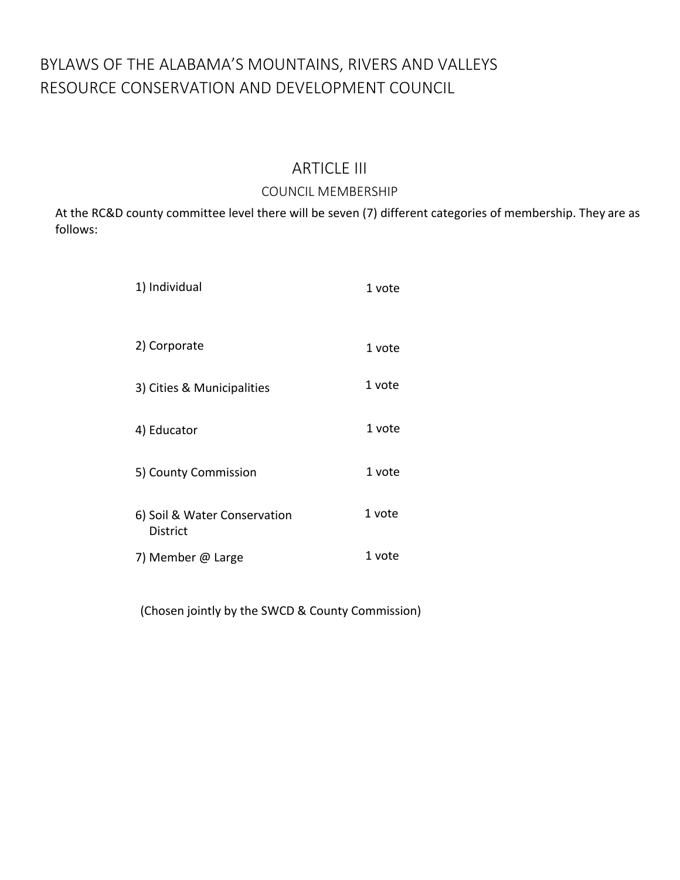# BYLAWS OF THE ALABAMA'S MOUNTAINS, RIVERS AND VALLEYS RESOURCE CONSERVATION AND DEVELOPMENT COUNCIL

# ARTICLE III

### COUNCIL MEMBERSHIP

At the RC&D county committee level there will be seven (7) different categories of membership. They are as follows:

| 1) Individual                                   | 1 vote |
|-------------------------------------------------|--------|
| 2) Corporate                                    | 1 vote |
| 3) Cities & Municipalities                      | 1 vote |
| 4) Educator                                     | 1 vote |
| 5) County Commission                            | 1 vote |
| 6) Soil & Water Conservation<br><b>District</b> | 1 vote |
| 7) Member @ Large                               | 1 vote |

(Chosen jointly by the SWCD & County Commission)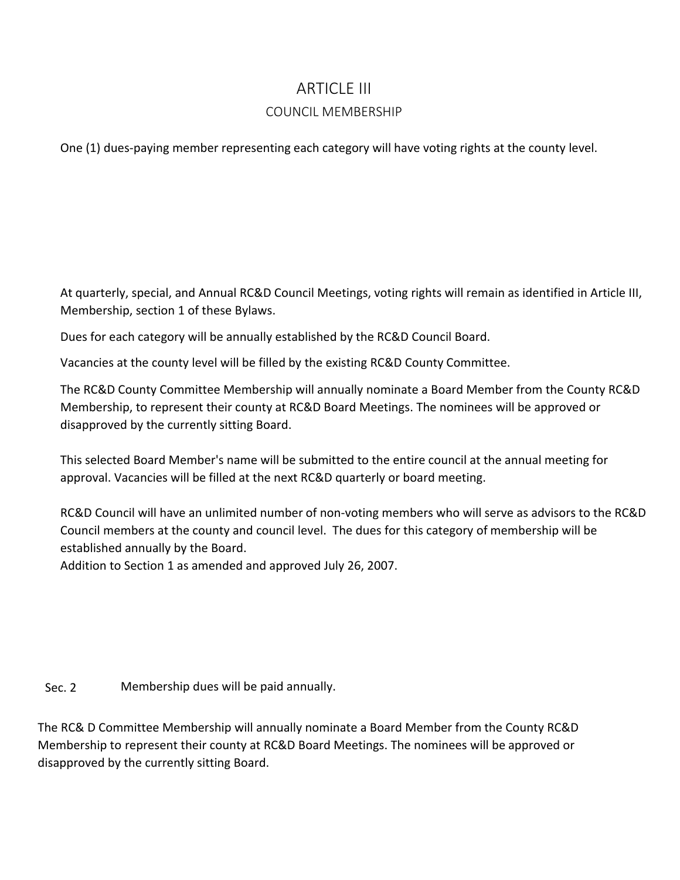## ARTICLE III

### COUNCIL MEMBERSHIP

One (1) dues-paying member representing each category will have voting rights at the county level.

At quarterly, special, and Annual RC&D Council Meetings, voting rights will remain as identified in Article III, Membership, section 1 of these Bylaws.

Dues for each category will be annually established by the RC&D Council Board.

Vacancies at the county level will be filled by the existing RC&D County Committee.

The RC&D County Committee Membership will annually nominate a Board Member from the County RC&D Membership, to represent their county at RC&D Board Meetings. The nominees will be approved or disapproved by the currently sitting Board.

This selected Board Member's name will be submitted to the entire council at the annual meeting for approval. Vacancies will be filled at the next RC&D quarterly or board meeting.

RC&D Council will have an unlimited number of non-voting members who will serve as advisors to the RC&D Council members at the county and council level. The dues for this category of membership will be established annually by the Board.

Addition to Section 1 as amended and approved July 26, 2007.

Sec. 2 Membership dues will be paid annually.

The RC& D Committee Membership will annually nominate a Board Member from the County RC&D Membership to represent their county at RC&D Board Meetings. The nominees will be approved or disapproved by the currently sitting Board.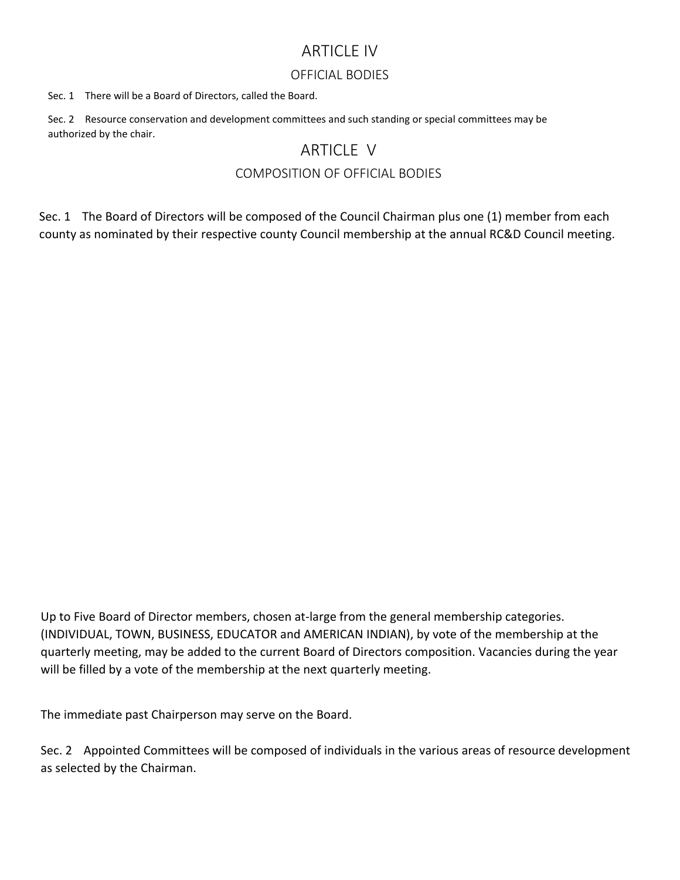## ARTICLE IV

#### OFFICIAL BODIES

Sec. 1 There will be a Board of Directors, called the Board.

Sec. 2 Resource conservation and development committees and such standing or special committees may be authorized by the chair.

## ARTICLE V

### COMPOSITION OF OFFICIAL BODIES

Sec. 1 The Board of Directors will be composed of the Council Chairman plus one (1) member from each county as nominated by their respective county Council membership at the annual RC&D Council meeting.

Up to Five Board of Director members, chosen at-large from the general membership categories. (INDIVIDUAL, TOWN, BUSINESS, EDUCATOR and AMERICAN INDIAN), by vote of the membership at the quarterly meeting, may be added to the current Board of Directors composition. Vacancies during the year will be filled by a vote of the membership at the next quarterly meeting.

The immediate past Chairperson may serve on the Board.

Sec. 2 Appointed Committees will be composed of individuals in the various areas of resource development as selected by the Chairman.